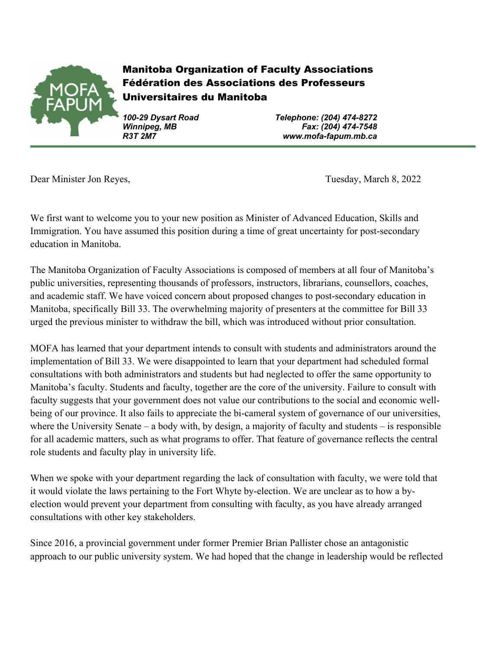

Manitoba Organization of Faculty Associations Fédération des Associations des Professeurs Universitaires du Manitoba

*100-29 Dysart Road Telephone: (204) 474-8272 Winnipeg, MB Fax: (204) 474-7548 R3T 2M7 www.mofa-fapum.mb.ca*

Dear Minister Jon Reyes, Tuesday, March 8, 2022

We first want to welcome you to your new position as Minister of Advanced Education, Skills and Immigration. You have assumed this position during a time of great uncertainty for post-secondary education in Manitoba.

The Manitoba Organization of Faculty Associations is composed of members at all four of Manitoba's public universities, representing thousands of professors, instructors, librarians, counsellors, coaches, and academic staff. We have voiced concern about proposed changes to post-secondary education in Manitoba, specifically Bill 33. The overwhelming majority of presenters at the committee for Bill 33 urged the previous minister to withdraw the bill, which was introduced without prior consultation.

MOFA has learned that your department intends to consult with students and administrators around the implementation of Bill 33. We were disappointed to learn that your department had scheduled formal consultations with both administrators and students but had neglected to offer the same opportunity to Manitoba's faculty. Students and faculty, together are the core of the university. Failure to consult with faculty suggests that your government does not value our contributions to the social and economic wellbeing of our province. It also fails to appreciate the bi-cameral system of governance of our universities, where the University Senate – a body with, by design, a majority of faculty and students – is responsible for all academic matters, such as what programs to offer. That feature of governance reflects the central role students and faculty play in university life.

When we spoke with your department regarding the lack of consultation with faculty, we were told that it would violate the laws pertaining to the Fort Whyte by-election. We are unclear as to how a byelection would prevent your department from consulting with faculty, as you have already arranged consultations with other key stakeholders.

Since 2016, a provincial government under former Premier Brian Pallister chose an antagonistic approach to our public university system. We had hoped that the change in leadership would be reflected